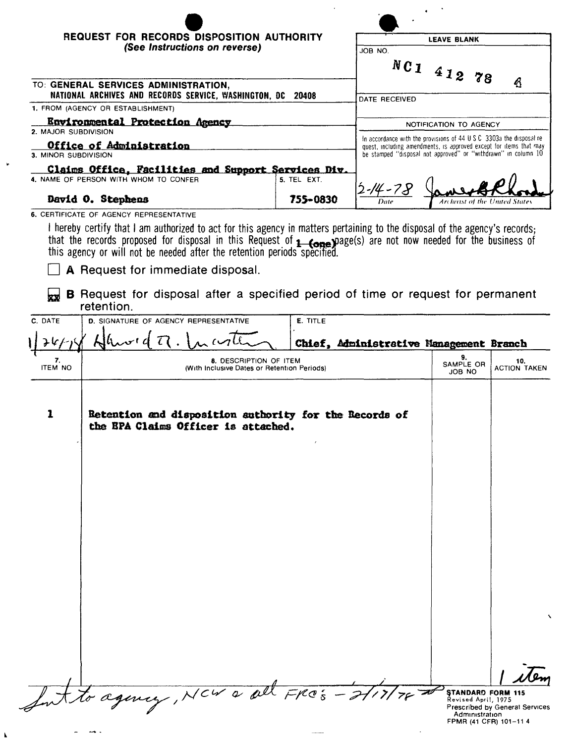|                                                                                                     | REQUEST FOR RECORDS DISPOSITION AUTHORITY |                                                                       |  |  |  |  |
|-----------------------------------------------------------------------------------------------------|-------------------------------------------|-----------------------------------------------------------------------|--|--|--|--|
| (See Instructions on reverse)                                                                       |                                           | JOB NO.                                                               |  |  |  |  |
|                                                                                                     |                                           | $NC1$ 412 78                                                          |  |  |  |  |
| TO: GENERAL SERVICES ADMINISTRATION,<br>NATIONAL ARCHIVES AND RECORDS SERVICE, WASHINGTON, DC 20408 |                                           | Ą                                                                     |  |  |  |  |
| 1. FROM (AGENCY OR ESTABLISHMENT)                                                                   |                                           | DATE RECEIVED                                                         |  |  |  |  |
|                                                                                                     |                                           |                                                                       |  |  |  |  |
| <u>Environmental Protection Agency</u>                                                              |                                           | NOTIFICATION TO AGENCY                                                |  |  |  |  |
| 2. MAJOR SUBDIVISION                                                                                |                                           | In accordance with the provisions of 44 U.S.C. 3303a the disposal re- |  |  |  |  |
| Office of Administration                                                                            |                                           | quest, including amendments, is approved except for items that may    |  |  |  |  |
| 3. MINOR SUBDIVISION                                                                                |                                           | be stamped "disposal not approved" or "withdrawn" in column 10        |  |  |  |  |
| Claims Office, Facilities and Support Services Div.                                                 |                                           |                                                                       |  |  |  |  |
| 4. NAME OF PERSON WITH WHOM TO CONFER                                                               | 5. TEL EXT.                               | $2 - 14 - 78$                                                         |  |  |  |  |
| David O. Stephens                                                                                   | 755-0830                                  | <b>Archivist of the United States</b><br>Date                         |  |  |  |  |

that the records proposed for disposal in this Request of **1--come))**Jage(s) are not now needed for the business of this agency or will not be needed after the retention periods specifiea.

 $\Box$  A Request for immediate disposal.

 $\rightarrow$  .  $\tilde{\phantom{a}}$ 

 $\pmb{\lambda}$ 

×

**B** Request for disposal after a specified period of time or request for permanent retention.

| C. DATE              | D. SIGNATURE OF AGENCY REPRESENTATIVE                                                         | E. TITLE                                |                                                                                             |                                |  |
|----------------------|-----------------------------------------------------------------------------------------------|-----------------------------------------|---------------------------------------------------------------------------------------------|--------------------------------|--|
| チルト                  |                                                                                               | Chief, Administrative Management Branch |                                                                                             |                                |  |
| 7.<br><b>ITEM NO</b> | 8. DESCRIPTION OF ITEM<br>(With Inclusive Dates or Retention Periods)                         | 9.<br>SAMPLE OR<br>JOB NO               | 10.<br><b>ACTION TAKEN</b>                                                                  |                                |  |
| $\mathbf 1$          | Retention and disposition authority for the Records of<br>the EPA Claims Officer is attached. |                                         |                                                                                             |                                |  |
|                      |                                                                                               |                                         |                                                                                             |                                |  |
|                      |                                                                                               |                                         |                                                                                             |                                |  |
|                      |                                                                                               |                                         |                                                                                             |                                |  |
|                      | to agency, NCW a all FROS - 2/17/                                                             |                                         | <b>STANDARD FORM 115</b><br>Revised April, 1975<br>Administration<br>FPMR (41 CFR) 101-11 4 | Prescribed by General Services |  |